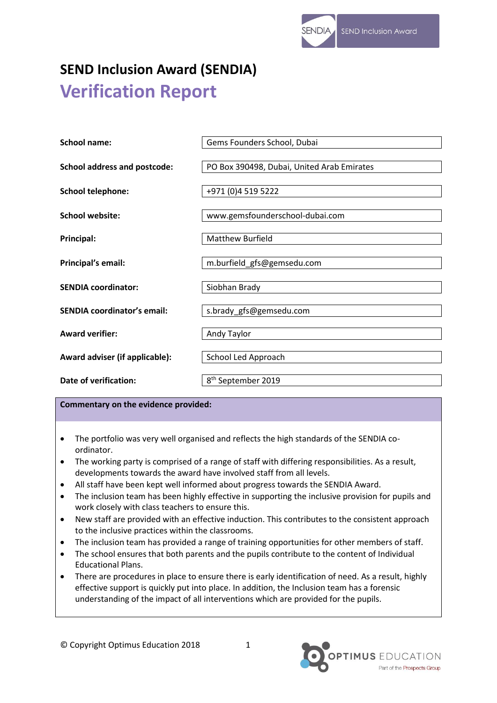# **SEND Inclusion Award (SENDIA) Verification Report**

| <b>School name:</b>                 | Gems Founders School, Dubai                |
|-------------------------------------|--------------------------------------------|
| <b>School address and postcode:</b> | PO Box 390498, Dubai, United Arab Emirates |
| <b>School telephone:</b>            | +971 (0)4 519 5222                         |
| School website:                     | www.gemsfounderschool-dubai.com            |
| Principal:                          | <b>Matthew Burfield</b>                    |
| Principal's email:                  | m.burfield_gfs@gemsedu.com                 |
| <b>SENDIA coordinator:</b>          | Siobhan Brady                              |
| <b>SENDIA coordinator's email:</b>  | s.brady_gfs@gemsedu.com                    |
| <b>Award verifier:</b>              | Andy Taylor                                |
| Award adviser (if applicable):      | School Led Approach                        |
| Date of verification:               | 8 <sup>th</sup> September 2019             |

## **Commentary on the evidence provided:**

- The portfolio was very well organised and reflects the high standards of the SENDIA coordinator.
- The working party is comprised of a range of staff with differing responsibilities. As a result, developments towards the award have involved staff from all levels.
- All staff have been kept well informed about progress towards the SENDIA Award.
- The inclusion team has been highly effective in supporting the inclusive provision for pupils and work closely with class teachers to ensure this.
- New staff are provided with an effective induction. This contributes to the consistent approach to the inclusive practices within the classrooms.
- The inclusion team has provided a range of training opportunities for other members of staff.
- The school ensures that both parents and the pupils contribute to the content of Individual Educational Plans.
- There are procedures in place to ensure there is early identification of need. As a result, highly effective support is quickly put into place. In addition, the Inclusion team has a forensic understanding of the impact of all interventions which are provided for the pupils.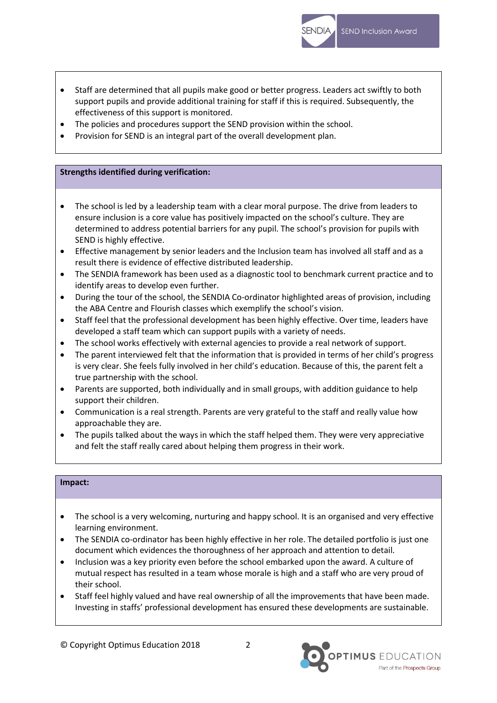- Staff are determined that all pupils make good or better progress. Leaders act swiftly to both support pupils and provide additional training for staff if this is required. Subsequently, the effectiveness of this support is monitored.
- The policies and procedures support the SEND provision within the school.
- Provision for SEND is an integral part of the overall development plan.

# **Strengths identified during verification:**

- The school is led by a leadership team with a clear moral purpose. The drive from leaders to ensure inclusion is a core value has positively impacted on the school's culture. They are determined to address potential barriers for any pupil. The school's provision for pupils with SEND is highly effective.
- Effective management by senior leaders and the Inclusion team has involved all staff and as a result there is evidence of effective distributed leadership.
- The SENDIA framework has been used as a diagnostic tool to benchmark current practice and to identify areas to develop even further.
- During the tour of the school, the SENDIA Co-ordinator highlighted areas of provision, including the ABA Centre and Flourish classes which exemplify the school's vision.
- Staff feel that the professional development has been highly effective. Over time, leaders have developed a staff team which can support pupils with a variety of needs.
- The school works effectively with external agencies to provide a real network of support.
- The parent interviewed felt that the information that is provided in terms of her child's progress is very clear. She feels fully involved in her child's education. Because of this, the parent felt a true partnership with the school.
- Parents are supported, both individually and in small groups, with addition guidance to help support their children.
- Communication is a real strength. Parents are very grateful to the staff and really value how approachable they are.
- The pupils talked about the ways in which the staff helped them. They were very appreciative and felt the staff really cared about helping them progress in their work.

# **Impact:**

- The school is a very welcoming, nurturing and happy school. It is an organised and very effective learning environment.
- The SENDIA co-ordinator has been highly effective in her role. The detailed portfolio is just one document which evidences the thoroughness of her approach and attention to detail.
- Inclusion was a key priority even before the school embarked upon the award. A culture of mutual respect has resulted in a team whose morale is high and a staff who are very proud of their school.
- Staff feel highly valued and have real ownership of all the improvements that have been made. Investing in staffs' professional development has ensured these developments are sustainable.